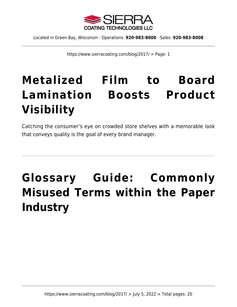

https://www.sierracoating.com/blog/2017/ > Page: 1

# **[Metalized Film to Board](https://www.sierracoating.com/blog/metalized-film-to-board-lamination-boosts-product-visibility/) [Lamination Boosts Product](https://www.sierracoating.com/blog/metalized-film-to-board-lamination-boosts-product-visibility/) [Visibility](https://www.sierracoating.com/blog/metalized-film-to-board-lamination-boosts-product-visibility/)**

Catching the consumer's eye on crowded store shelves with a memorable look that conveys quality is the goal of every brand manager.

# **[Glossary Guide: Commonly](https://www.sierracoating.com/blog/glossary-guide/) [Misused Terms within the Paper](https://www.sierracoating.com/blog/glossary-guide/) [Industry](https://www.sierracoating.com/blog/glossary-guide/)**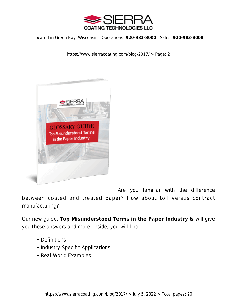

https://www.sierracoating.com/blog/2017/ > Page: 2



Are you familiar with the difference between coated and treated paper? How about toll versus contract manufacturing?

Our new guide, **Top Misunderstood Terms in the Paper Industry &** will give you these answers and more. Inside, you will find:

- Definitions
- **Industry-Specific Applications**
- Real-World Examples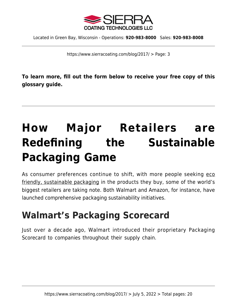

https://www.sierracoating.com/blog/2017/ > Page: 3

**To learn more, fill out the form below to receive your free copy of this glossary guide.**

# **[How Major Retailers are](https://www.sierracoating.com/blog/sustainable-retail-packaging/) [Redefining the Sustainable](https://www.sierracoating.com/blog/sustainable-retail-packaging/) [Packaging Game](https://www.sierracoating.com/blog/sustainable-retail-packaging/)**

As consumer preferences continue to shift, with more people seeking [eco](https://www.sierracoating.com/eco-packaging) [friendly, sustainable packaging](https://www.sierracoating.com/eco-packaging) in the products they buy, some of the world's biggest retailers are taking note. Both Walmart and Amazon, for instance, have launched comprehensive packaging sustainability initiatives.

#### **Walmart's Packaging Scorecard**

Just over a decade ago, Walmart introduced their proprietary Packaging Scorecard to companies throughout their supply chain.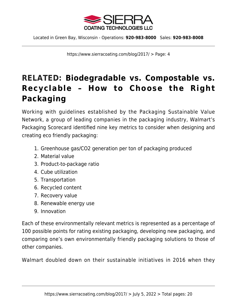

https://www.sierracoating.com/blog/2017/ > Page: 4

#### **RELATED: [Biodegradable vs. Compostable vs.](https://www.sierracoating.com/blog/how-to-choose-the-right-eco-friendly-packaging-biodegradable-vs-compostable-vs-recyclable/) [Recyclable – How to Choose the Right](https://www.sierracoating.com/blog/how-to-choose-the-right-eco-friendly-packaging-biodegradable-vs-compostable-vs-recyclable/) [Packaging](https://www.sierracoating.com/blog/how-to-choose-the-right-eco-friendly-packaging-biodegradable-vs-compostable-vs-recyclable/)**

Working with guidelines established by the Packaging Sustainable Value Network, a group of leading companies in the packaging industry, Walmart's Packaging Scorecard identified nine key metrics to consider when designing and creating eco friendly packaging:

- 1. Greenhouse gas/CO2 generation per ton of packaging produced
- 2. Material value
- 3. Product-to-package ratio
- 4. Cube utilization
- 5. Transportation
- 6. Recycled content
- 7. Recovery value
- 8. Renewable energy use
- 9. Innovation

Each of these environmentally relevant metrics is represented as a percentage of 100 possible points for rating existing packaging, developing new packaging, and comparing one's own environmentally friendly packaging solutions to those of other companies.

Walmart doubled down on their sustainable initiatives in 2016 when they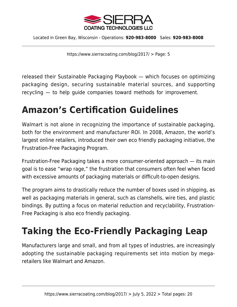

https://www.sierracoating.com/blog/2017/ > Page: 5

released their Sustainable Packaging Playbook — which focuses on optimizing packaging design, securing sustainable material sources, and supporting recycling — to help guide companies toward methods for improvement.

## **Amazon's Certification Guidelines**

Walmart is not alone in recognizing the importance of sustainable packaging, both for the environment and manufacturer ROI. In 2008, Amazon, the world's largest online retailers, introduced their own eco friendly packaging initiative, the Frustration-Free Packaging Program.

Frustration-Free Packaging takes a more consumer-oriented approach — its main goal is to ease "wrap rage," the frustration that consumers often feel when faced with excessive amounts of packaging materials or difficult-to-open designs.

The program aims to drastically reduce the number of boxes used in shipping, as well as packaging materials in general, such as clamshells, wire ties, and plastic bindings. By putting a focus on material reduction and recyclability, Frustration-Free Packaging is also eco friendly packaging.

# **Taking the Eco-Friendly Packaging Leap**

Manufacturers large and small, and from all types of industries, are increasingly adopting the sustainable packaging requirements set into motion by megaretailers like Walmart and Amazon.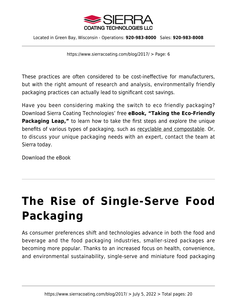

https://www.sierracoating.com/blog/2017/ > Page: 6

These practices are often considered to be cost-ineffective for manufacturers, but with the right amount of research and analysis, environmentally friendly packaging practices can actually lead to significant cost savings.

Have you been considering making the switch to eco friendly packaging? Download Sierra Coating Technologies' free **eBook, ["Taking the Eco-Friendly](https://www.sierracoating.com/eco-friendly-packaging-ebook/) [Packaging Leap,"](https://www.sierracoating.com/eco-friendly-packaging-ebook/)** to learn how to take the first steps and explore the unique benefits of various types of packaging, such as [recyclable and compostable](https://www.sierracoating.com/services/recyclable-environmental/). Or, to discuss your unique packaging needs with an expert, [contact the team](https://www.sierracoating.com/contact) at Sierra today.

[Download the eBook](https://www.sierracoating.com/eco-friendly-packaging-ebook/)

# **[The Rise of Single-Serve Food](https://www.sierracoating.com/blog/rise-single-serve-food-packaging/) [Packaging](https://www.sierracoating.com/blog/rise-single-serve-food-packaging/)**

As consumer preferences shift and technologies advance in both the food and beverage and the food packaging industries, smaller-sized packages are becoming more popular. Thanks to an increased focus on health, convenience, and [environmental sustainability](https://www.sierracoating.com/eco-packaging), single-serve and miniature food packaging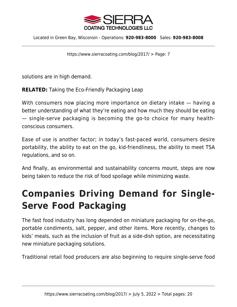

https://www.sierracoating.com/blog/2017/ > Page: 7

solutions are in high demand.

**RELATED:** [Taking the Eco-Friendly Packaging Leap](https://www.sierracoating.com/lp-eco-friendly-packaging-ebook)

With consumers now placing more importance on dietary intake — having a better understanding of what they're eating and how much they should be eating — single-serve packaging is becoming the go-to choice for many healthconscious consumers.

Ease of use is another factor; in today's fast-paced world, consumers desire portability, the ability to eat on the go, kid-friendliness, the ability to meet TSA regulations, and so on.

And finally, as environmental and sustainability concerns mount, steps are now being taken to reduce the risk of food spoilage while minimizing waste.

# **Companies Driving Demand for Single-Serve Food Packaging**

The fast food industry has long depended on miniature packaging for on-the-go, portable condiments, salt, pepper, and other items. More recently, changes to kids' meals, such as the inclusion of fruit as a side-dish option, are necessitating new miniature packaging solutions.

Traditional retail food producers are also beginning to require single-serve food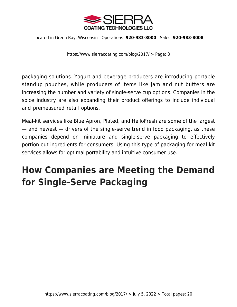

https://www.sierracoating.com/blog/2017/ > Page: 8

packaging solutions. Yogurt and beverage producers are introducing portable standup pouches, while producers of items like jam and nut butters are increasing the number and variety of single-serve cup options. Companies in the spice industry are also expanding their product offerings to include individual and premeasured retail options.

Meal-kit services like Blue Apron, Plated, and HelloFresh are some of the largest — and newest — drivers of the single-serve trend in food packaging, as these companies depend on miniature and single-serve packaging to effectively portion out ingredients for consumers. Using this type of packaging for meal-kit services allows for optimal portability and intuitive consumer use.

# **How Companies are Meeting the Demand for Single-Serve Packaging**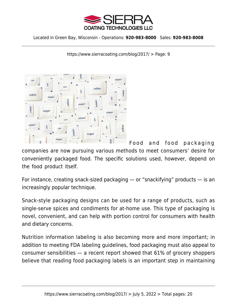

https://www.sierracoating.com/blog/2017/ > Page: 9



Food and food packaging companies are now pursuing various methods to meet consumers' desire for conveniently packaged food. The specific solutions used, however, depend on the food product itself.

For instance, creating snack-sized packaging — or "snackifying" products — is an increasingly popular technique.

Snack-style packaging designs can be used for a range of products, such as single-serve spices and condiments for at-home use. This type of packaging is novel, convenient, and can help with portion control for consumers with health and dietary concerns.

Nutrition information labeling is also becoming more and more important; in addition to meeting FDA labeling guidelines, food packaging must also appeal to consumer sensibilities — a recent report showed that [61% of grocery shoppers](http://www.prnewswire.com/news-releases/evergreen-packaging-launches-14-days-of-fresh-an-initiative-to-raise-consumer-awareness-about-packagings-role-in-achieving-healthy-eco-friendly-lifestyles-300339803.html) believe that reading food packaging labels is an important step in maintaining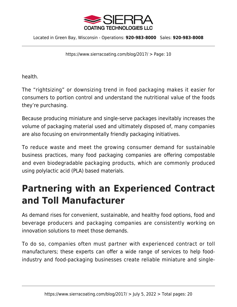

https://www.sierracoating.com/blog/2017/ > Page: 10

health.

The "rightsizing" or downsizing trend in food packaging makes it easier for consumers to portion control and understand the nutritional value of the foods they're purchasing.

Because producing miniature and single-serve packages inevitably increases the volume of packaging material used and ultimately disposed of, many companies are also focusing on environmentally friendly packaging initiatives.

To reduce waste and meet the growing consumer demand for sustainable business practices, many food packaging companies are offering compostable and even biodegradable packaging products, which are commonly produced using polylactic acid (PLA) based materials.

## **Partnering with an Experienced Contract and Toll Manufacturer**

As demand rises for convenient, sustainable, and healthy food options, food and beverage producers and packaging companies are consistently working on innovation solutions to meet those demands.

To do so, companies often must partner with [experienced contract or toll](https://www.sierracoating.com/contract-and-toll-manufacturing) [manufacturers;](https://www.sierracoating.com/contract-and-toll-manufacturing) these experts can offer a wide range of services to help foodindustry and food-packaging businesses create reliable miniature and single-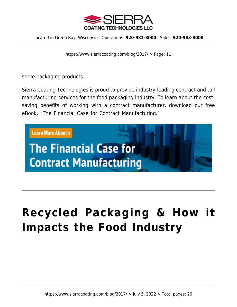

https://www.sierracoating.com/blog/2017/ > Page: 11

serve packaging products.

Sierra Coating Technologies is proud to provide industry-leading contract and toll manufacturing services for the food packaging industry. To learn about the costsaving benefits of working with a contract manufacturer, download our free eBook, ["The Financial Case for Contract Manufacturing.](https://www.sierracoating.com/financial-case-contract-manufacturing-ebook)"



# **[Recycled Packaging & How it](https://www.sierracoating.com/blog/recycled/) [Impacts the Food Industry](https://www.sierracoating.com/blog/recycled/)**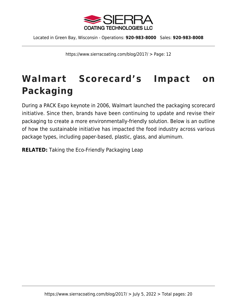

https://www.sierracoating.com/blog/2017/ > Page: 12

# **Walmart Scorecard's Impact on Packaging**

During a PACK Expo keynote in 2006, Walmart launched the [packaging scorecard](http://corporate.walmart.com/_news_/news-archive/2006/11/01/wal-mart-unveils-packaging-scorecard-to-suppliers) [initiative.](http://corporate.walmart.com/_news_/news-archive/2006/11/01/wal-mart-unveils-packaging-scorecard-to-suppliers) Since then, brands have been continuing to update and revise their packaging to create a more environmentally-friendly solution. Below is an outline of how the sustainable initiative has impacted the food industry across various package types, including paper-based, plastic, glass, and aluminum.

**RELATED:** [Taking the Eco-Friendly Packaging Leap](https://www.sierracoating.com/lp-eco-friendly-packaging-ebook)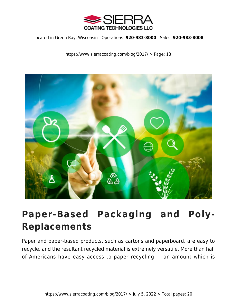

https://www.sierracoating.com/blog/2017/ > Page: 13



## **Paper-Based Packaging and Poly-Replacements**

Paper and paper-based products, such as cartons and paperboard, are easy to recycle, and the resultant recycled material is extremely versatile. More than half of Americans have easy access to paper recycling — an amount which is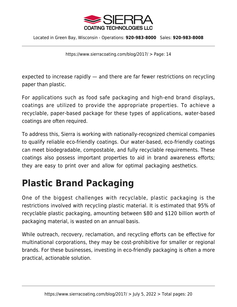

https://www.sierracoating.com/blog/2017/ > Page: 14

expected to increase rapidly — and there are far fewer restrictions on recycling paper than plastic.

For applications such as food safe packaging and [high-end brand displays](https://www.sierracoating.com/metalized-film-to-board-lamination), coatings are utilized to provide the appropriate properties. To achieve a recyclable, paper-based package for these types of applications, water-based coatings are often required.

To address this, Sierra is working with nationally-recognized chemical companies to qualify reliable eco-friendly coatings. Our water-based, eco-friendly coatings can meet biodegradable, compostable, and fully recyclable requirements. These coatings also possess important properties to aid in brand awareness efforts; they are easy to print over and allow for optimal packaging aesthetics.

#### **Plastic Brand Packaging**

One of the biggest challenges with recyclable, plastic packaging is the restrictions involved with recycling plastic material. It is estimated that [95% of](https://waste-management-world.com/a/report-oceans-to-contain-more-waste-plastic-than-fish-by) [recyclable plastic packaging,](https://waste-management-world.com/a/report-oceans-to-contain-more-waste-plastic-than-fish-by) amounting between \$80 and \$120 billion worth of packaging material, is wasted on an annual basis.

While outreach, recovery, reclamation, and recycling efforts can be effective for multinational corporations, they may be cost-prohibitive for smaller or regional brands. For these businesses, investing in [eco-friendly packaging](https://www.sierracoating.com/eco-packaging) is often a more practical, actionable solution.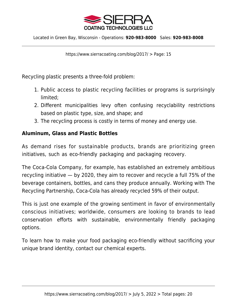

https://www.sierracoating.com/blog/2017/ > Page: 15

Recycling plastic presents a three-fold problem:

- 1. Public access to plastic recycling facilities or programs is surprisingly limited;
- 2. Different municipalities levy often confusing recyclability restrictions based on plastic type, size, and shape; and
- 3. The recycling process is costly in terms of money and energy use.

#### **Aluminum, Glass and Plastic Bottles**

As demand rises for sustainable products, brands are prioritizing green initiatives, such as eco-friendly packaging and packaging recovery.

The Coca-Cola Company, for example, has established an extremely ambitious recycling initiative — by 2020, they aim to recover and recycle a full 75% of the beverage containers, bottles, and cans they produce annually. Working with The Recycling Partnership, Coca-Cola has already recycled 59% of their output.

This is just one example of the growing sentiment in favor of environmentally conscious initiatives; worldwide, consumers are looking to brands to lead conservation efforts with sustainable, environmentally friendly packaging options.

To learn how to make your food packaging eco-friendly without sacrificing your unique brand identity, [contact our chemical experts](https://www.sierracoating.com/contact).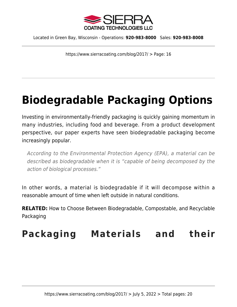

https://www.sierracoating.com/blog/2017/ > Page: 16

# **[Biodegradable Packaging Options](https://www.sierracoating.com/blog/biodegradable/)**

Investing in [environmentally-friendly packaging](https://www.sierracoating.com/eco-packaging) is quickly gaining momentum in many industries, including food and beverage. From a product development perspective, our paper experts have seen biodegradable packaging become increasingly popular.

According to the Environmental Protection Agency (EPA), a material can be described as biodegradable when it is "capable of being decomposed by the action of biological processes."

In other words, a material is biodegradable if it will decompose within a reasonable amount of time when left outside in natural conditions.

**RELATED:** [How to Choose Between Biodegradable, Compostable, and Recyclable](https://www.sierracoating.com/biodegradable-compostable-recyclable-packaging) [Packaging](https://www.sierracoating.com/biodegradable-compostable-recyclable-packaging)

## **Packaging Materials and their**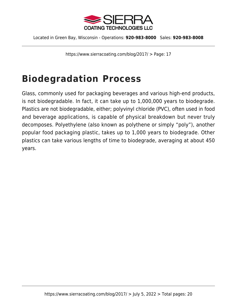

https://www.sierracoating.com/blog/2017/ > Page: 17

# **Biodegradation Process**

Glass, commonly used for packaging beverages and various high-end products, is not biodegradable. In fact, it can take up to [1,000,000 years to biodegrade](http://sciencelearn.org.nz/Contexts/Enviro-imprints/Looking-Closer/Measuring-biodegradability). Plastics are not biodegradable, either; polyvinyl chloride (PVC), often used in food and beverage applications, is capable of physical breakdown but never truly decomposes. Polyethylene (also known as polythene or simply "poly"), another popular food packaging plastic, takes up to 1,000 years to biodegrade. Other plastics can take various lengths of time to biodegrade, averaging at about 450 years.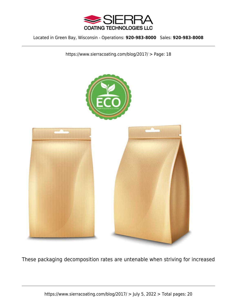

https://www.sierracoating.com/blog/2017/ > Page: 18



These packaging decomposition rates are untenable when striving for increased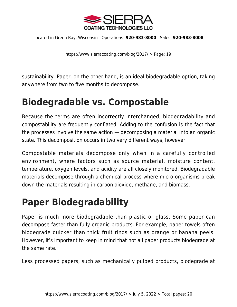

https://www.sierracoating.com/blog/2017/ > Page: 19

sustainability. Paper, on the other hand, is an ideal biodegradable option, taking anywhere from two to five months to decompose.

## **Biodegradable vs. Compostable**

Because the terms are often incorrectly interchanged, biodegradability and compostability are frequently conflated. Adding to the confusion is the fact that the processes involve the same action — decomposing a material into an organic state. This decomposition occurs in two very different ways, however.

Compostable materials decompose only when in a carefully controlled environment, where factors such as source material, moisture content, temperature, oxygen levels, and acidity are all closely monitored. Biodegradable materials decompose through [a chemical process](http://innprobio.innovation-procurement.org/fileadmin/user_upload/Factsheets/Factsheet_n_3.pdf) where micro-organisms break down the materials resulting in carbon dioxide, methane, and biomass.

## **Paper Biodegradability**

Paper is much more biodegradable than plastic or glass. Some paper can decompose faster than fully organic products. For example, paper towels often biodegrade quicker than thick fruit rinds such as orange or banana peels. However, it's important to keep in mind that not all paper products biodegrade at the same rate.

Less processed papers, such as mechanically pulped products, biodegrade at